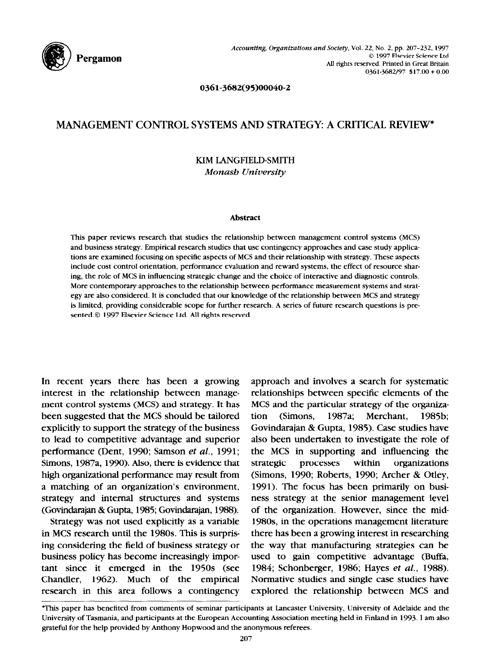

0361-3682(95)00040-2

## **MANAGEMENT CONTROL SYSTEMS AND STRATEGY: A CRITICAL REVIEW\***

## **KIM LANGFIELD-SMITH**  *Mona& University*

#### **Abstract**

This paper reviews research that studies the relationship between management control systems (MCS) and business strategy. Empirical research studies that use contingency approaches and case study applications are examined focusing on specific aspects of MCS and their relationship with strategy. These aspects include cost control orientation, performance evaluation and reward systems, the effect of resource sharing, the role of MCS in influencing strategic change and the choice of interactive and diagnostic controls. More contemporary approaches to the relationship between performance measurement systems and strategy are also considered. It is concluded that our knowledge of the relationship between MCS and strategy is limited, providing considerable scope for further research. A series of future research questions is presented.@ 1997 Elsevier Science Ltd. All rights reserved

**In recent years there has been a growing interest in the relationship between management control systems (MCS) and strategy. It has been suggested that the MCS should be tailored explicitly to support the strategy of the business to lead to competitive advantage and superior performance (Dent, 1990; Samson** *et al.,* **1991; Simons, 1987a, 1990). Also, there is evidence that high organizational performance may result from a matching of an organization's environment, strategy and internal structures and systems (Govindarajan & Gupta, 1985; Govindarajan, 198@).** 

**Strategy was not used explicitly as a variable in MCS research until the 1980s. This is surprising considering the field of business strategy or business policy has become increasingly important since it emerged in the 1950s (see Chandler, 1962). Much of the empirical research in this area follows a contingency**  **approach and involves a search for systematic relationships between specific elements of the MCS and the particular strategy of the organization (Simons, 1987a; Merchant, 1985b;**  Govindarajan & Gupta, 1985). Case studies have **also been undertaken to investigate the role of the MCS in supporting and influencing the strategic processes within organizations (Simons, 1990; Roberts, 1990; Archer & Otley, 1991). The focus has been primarily on business strategy at the senior management level of the organization. However, since the mid-198Os, in the operations management literature there has been a growing interest in researching the way that manufacturing strategies can be used to gain competitive advantage (Buffa, 1984; Schonberger, 1986; Hayes** *et al.,* **1988). Normative studies and single case studies have explored the relationship between MCS and** 

<sup>\*</sup>This paper has benefited from comments of seminar participants at Lancaster University, University of Adelaide and the University of Tasmania, and participants at the European Accounting Association meeting held in Finland in 1993. I am also grateful for the help provided by Anthony Hopwood and the anonymous referees.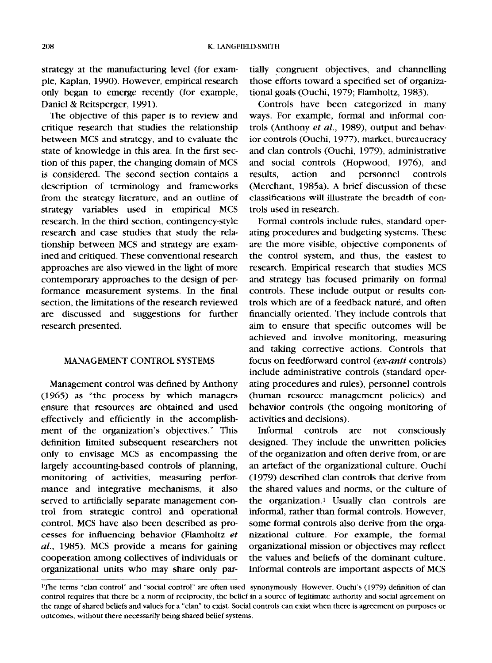strategy at the manufacturing level (for example, Kaplan, 1990). However, empirical research only began to emerge recently (for example, Daniel & Reitsperger, 1991).

The objective of this paper is to review and critique research that studies the relationship between MCS and strategy, and to evaluate the state of knowledge in this area. In the first section of this paper, the changing domain of MCS is considered. The second section contains a description of terminology and frameworks from the strategy literature, and an outline of strategy variables used in empirical MCS research. In the third section, contingency-style research and case studies that study the relationship between MCS and strategy are examined and critiqued. These conventional research approaches are also viewed in the light of more contemporary approaches to the design of performance measurement systems. In the final section, the limitations of the research reviewed are discussed and suggestions for further research presented.

### MANAGEMENT CONTROL SYSTEMS

Management control was defined by Anthony (1965) as "the process by which managers ensure that resources are obtained and used effectively and efficiently in the accomplishment of the organization's objectives." This definition limited subsequent researchers not only to envisage MCS as encompassing the largely accounting-based controls of planning, monitoring of activities, measuring performance and integrative mechanisms, it also served to artificially separate management control from strategic control and operational control. MCS have also been described as processes for influencing behavior (Flamholtz *et al.,* 1985). MCS provide a means for gaining cooperation among collectives of individuals or organizational units who may share only partially congruent objectives, and channelling those efforts toward a specified set of organizational goals (Ouchi, 1979; Flamholtz, 1983).

Controls have been categorized in many ways. For example, formal and informal controls (Anthony *et al.*, 1989), output and behavior controls (Ouchi, 1977), market, bureaucracy and clan controls (Ouchi, 1979), administrative and social controls (Hopwood, 1976), and results, action and personnel controls (Merchant, 1985a). A brief discussion of these classifications will illustrate the breadth of controls used in research.

Formal controls include rules, standard operating procedures and budgeting systems. These are the more visible, objective components of the control system, and thus, the easiest to research. Empirical research that studies MCS and strategy has focused primarily on formal controls. These include output or results controls which are of a feedback nature, and often financially oriented. They include controls that aim to ensure that specific outcomes will be achieved and involve monitoring, measuring and taking corrective actions. Controls that focus on feedforward control *(ex-anti* controls) include administrative controls (standard operating procedures and rules), personnel controls (human resource management policies) and behavior controls (the ongoing monitoring of activities and decisions).

Informal controls are not consciously designed. They include the unwritten policies of the organization and often derive from, or are an artefact of the organizational culture. Ouchi (1979) described clan controls that derive from the shared values and norms, or the culture of the organization.1 Usually clan controls are informal, rather than formal controls. However, some formal controls also derive from the organizational culture. For example, the formal organizational mission or objectives may reflect the values and beliefs of the dominant culture. Informal controls are important aspects of MCS

**<sup>&#</sup>x27;The terms "clan control" and "social control" are often used synonymously. However, Ouchi's (1979) definition of clan control requires that there be a norm of reciprocity, the belief in a source of legitimate authority and social agreement on the range of shared beliefs and values for a "clan" to exist. Social controls can exist when there is agreement on purposes or outcomes, without there necessarily being shared belief systems.**